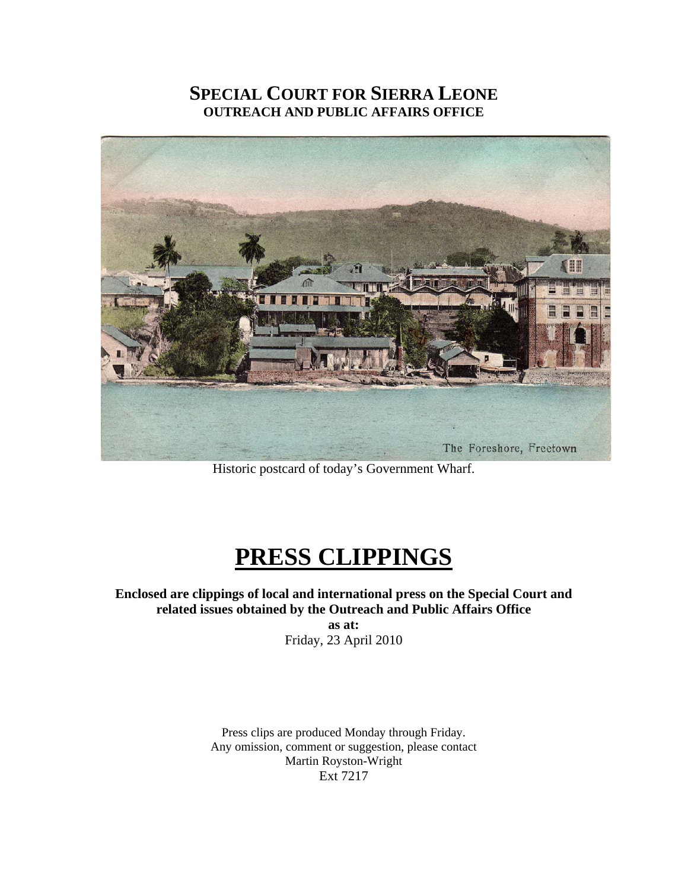# **SPECIAL COURT FOR SIERRA LEONE OUTREACH AND PUBLIC AFFAIRS OFFICE**



Historic postcard of today's Government Wharf.

# **PRESS CLIPPINGS**

**Enclosed are clippings of local and international press on the Special Court and related issues obtained by the Outreach and Public Affairs Office as at:**  Friday, 23 April 2010

> Press clips are produced Monday through Friday. Any omission, comment or suggestion, please contact Martin Royston-Wright Ext 7217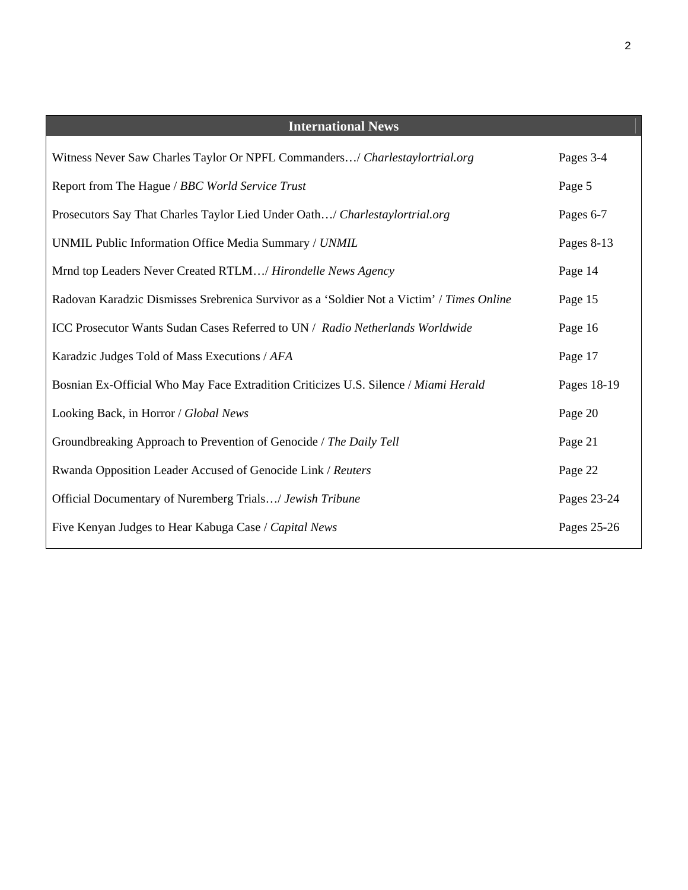| <b>International News</b>                                                                 |             |
|-------------------------------------------------------------------------------------------|-------------|
| Witness Never Saw Charles Taylor Or NPFL Commanders/ Charlestaylortrial.org               | Pages 3-4   |
| Report from The Hague / BBC World Service Trust                                           | Page 5      |
| Prosecutors Say That Charles Taylor Lied Under Oath/ Charlestaylortrial.org               | Pages 6-7   |
| UNMIL Public Information Office Media Summary / UNMIL                                     | Pages 8-13  |
| Mrnd top Leaders Never Created RTLM/ Hirondelle News Agency                               | Page 14     |
| Radovan Karadzic Dismisses Srebrenica Survivor as a 'Soldier Not a Victim' / Times Online | Page 15     |
| ICC Prosecutor Wants Sudan Cases Referred to UN / Radio Netherlands Worldwide             | Page 16     |
| Karadzic Judges Told of Mass Executions / AFA                                             | Page 17     |
| Bosnian Ex-Official Who May Face Extradition Criticizes U.S. Silence / Miami Herald       | Pages 18-19 |
| Looking Back, in Horror / Global News                                                     | Page 20     |
| Groundbreaking Approach to Prevention of Genocide / The Daily Tell                        | Page 21     |
| Rwanda Opposition Leader Accused of Genocide Link / Reuters                               | Page 22     |
| Official Documentary of Nuremberg Trials/ Jewish Tribune                                  | Pages 23-24 |
| Five Kenyan Judges to Hear Kabuga Case / Capital News                                     | Pages 25-26 |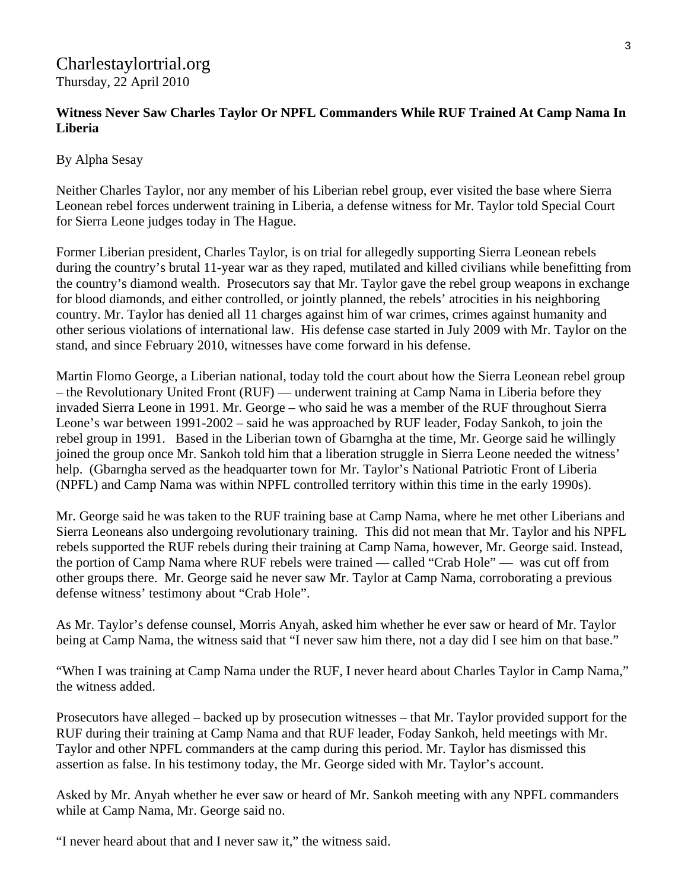# Charlestaylortrial.org Thursday, 22 April 2010

# **Witness Never Saw Charles Taylor Or NPFL Commanders While RUF Trained At Camp Nama In Liberia**

By Alpha Sesay

Neither Charles Taylor, nor any member of his Liberian rebel group, ever visited the base where Sierra Leonean rebel forces underwent training in Liberia, a defense witness for Mr. Taylor told Special Court for Sierra Leone judges today in The Hague.

Former Liberian president, Charles Taylor, is on trial for allegedly supporting Sierra Leonean rebels during the country's brutal 11-year war as they raped, mutilated and killed civilians while benefitting from the country's diamond wealth. Prosecutors say that Mr. Taylor gave the rebel group weapons in exchange for blood diamonds, and either controlled, or jointly planned, the rebels' atrocities in his neighboring country. Mr. Taylor has denied all 11 charges against him of war crimes, crimes against humanity and other serious violations of international law. His defense case started in July 2009 with Mr. Taylor on the stand, and since February 2010, witnesses have come forward in his defense.

Martin Flomo George, a Liberian national, today told the court about how the Sierra Leonean rebel group – the Revolutionary United Front (RUF) — underwent training at Camp Nama in Liberia before they invaded Sierra Leone in 1991. Mr. George – who said he was a member of the RUF throughout Sierra Leone's war between 1991-2002 – said he was approached by RUF leader, Foday Sankoh, to join the rebel group in 1991. Based in the Liberian town of Gbarngha at the time, Mr. George said he willingly joined the group once Mr. Sankoh told him that a liberation struggle in Sierra Leone needed the witness' help. (Gbarngha served as the headquarter town for Mr. Taylor's National Patriotic Front of Liberia (NPFL) and Camp Nama was within NPFL controlled territory within this time in the early 1990s).

Mr. George said he was taken to the RUF training base at Camp Nama, where he met other Liberians and Sierra Leoneans also undergoing revolutionary training. This did not mean that Mr. Taylor and his NPFL rebels supported the RUF rebels during their training at Camp Nama, however, Mr. George said. Instead, the portion of Camp Nama where RUF rebels were trained — called "Crab Hole" — was cut off from other groups there. Mr. George said he never saw Mr. Taylor at Camp Nama, corroborating a previous defense witness' testimony about "Crab Hole".

As Mr. Taylor's defense counsel, Morris Anyah, asked him whether he ever saw or heard of Mr. Taylor being at Camp Nama, the witness said that "I never saw him there, not a day did I see him on that base."

"When I was training at Camp Nama under the RUF, I never heard about Charles Taylor in Camp Nama," the witness added.

Prosecutors have alleged – backed up by prosecution witnesses – that Mr. Taylor provided support for the RUF during their training at Camp Nama and that RUF leader, Foday Sankoh, held meetings with Mr. Taylor and other NPFL commanders at the camp during this period. Mr. Taylor has dismissed this assertion as false. In his testimony today, the Mr. George sided with Mr. Taylor's account.

Asked by Mr. Anyah whether he ever saw or heard of Mr. Sankoh meeting with any NPFL commanders while at Camp Nama, Mr. George said no.

"I never heard about that and I never saw it," the witness said.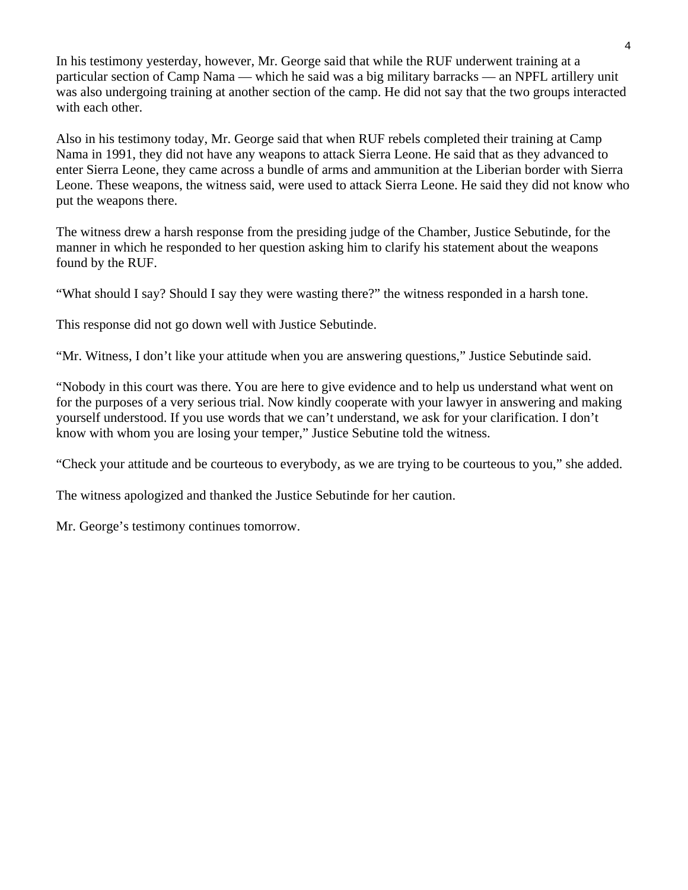In his testimony yesterday, however, Mr. George said that while the RUF underwent training at a particular section of Camp Nama — which he said was a big military barracks — an NPFL artillery unit was also undergoing training at another section of the camp. He did not say that the two groups interacted with each other.

Also in his testimony today, Mr. George said that when RUF rebels completed their training at Camp Nama in 1991, they did not have any weapons to attack Sierra Leone. He said that as they advanced to enter Sierra Leone, they came across a bundle of arms and ammunition at the Liberian border with Sierra Leone. These weapons, the witness said, were used to attack Sierra Leone. He said they did not know who put the weapons there.

The witness drew a harsh response from the presiding judge of the Chamber, Justice Sebutinde, for the manner in which he responded to her question asking him to clarify his statement about the weapons found by the RUF.

"What should I say? Should I say they were wasting there?" the witness responded in a harsh tone.

This response did not go down well with Justice Sebutinde.

"Mr. Witness, I don't like your attitude when you are answering questions," Justice Sebutinde said.

"Nobody in this court was there. You are here to give evidence and to help us understand what went on for the purposes of a very serious trial. Now kindly cooperate with your lawyer in answering and making yourself understood. If you use words that we can't understand, we ask for your clarification. I don't know with whom you are losing your temper," Justice Sebutine told the witness.

"Check your attitude and be courteous to everybody, as we are trying to be courteous to you," she added.

The witness apologized and thanked the Justice Sebutinde for her caution.

Mr. George's testimony continues tomorrow.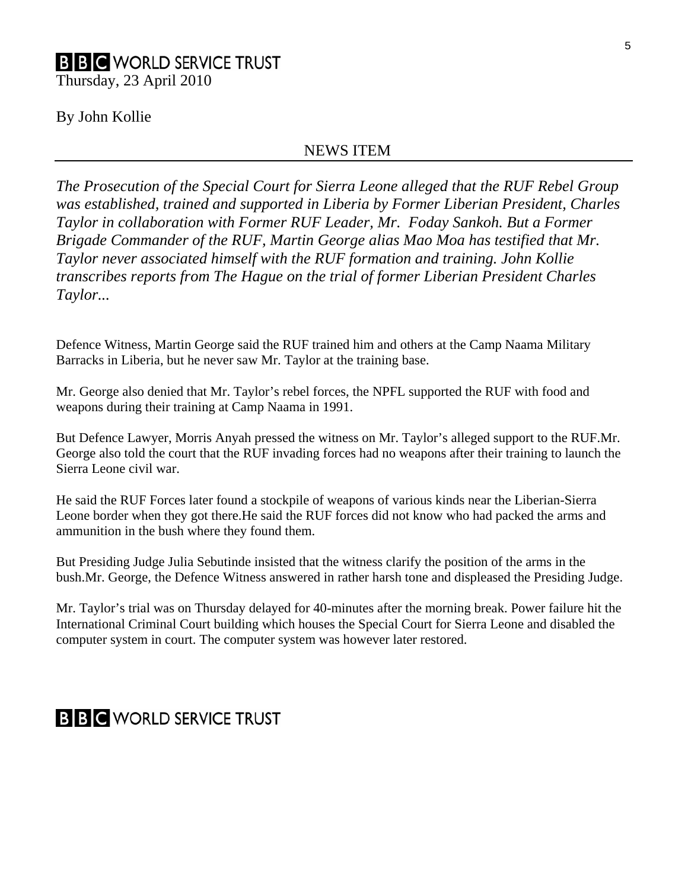# By John Kollie

# NEWS ITEM

*The Prosecution of the Special Court for Sierra Leone alleged that the RUF Rebel Group was established, trained and supported in Liberia by Former Liberian President, Charles Taylor in collaboration with Former RUF Leader, Mr. Foday Sankoh. But a Former Brigade Commander of the RUF, Martin George alias Mao Moa has testified that Mr. Taylor never associated himself with the RUF formation and training. John Kollie transcribes reports from The Hague on the trial of former Liberian President Charles Taylor...* 

Defence Witness, Martin George said the RUF trained him and others at the Camp Naama Military Barracks in Liberia, but he never saw Mr. Taylor at the training base.

Mr. George also denied that Mr. Taylor's rebel forces, the NPFL supported the RUF with food and weapons during their training at Camp Naama in 1991.

But Defence Lawyer, Morris Anyah pressed the witness on Mr. Taylor's alleged support to the RUF.Mr. George also told the court that the RUF invading forces had no weapons after their training to launch the Sierra Leone civil war.

He said the RUF Forces later found a stockpile of weapons of various kinds near the Liberian-Sierra Leone border when they got there.He said the RUF forces did not know who had packed the arms and ammunition in the bush where they found them.

But Presiding Judge Julia Sebutinde insisted that the witness clarify the position of the arms in the bush.Mr. George, the Defence Witness answered in rather harsh tone and displeased the Presiding Judge.

Mr. Taylor's trial was on Thursday delayed for 40-minutes after the morning break. Power failure hit the International Criminal Court building which houses the Special Court for Sierra Leone and disabled the computer system in court. The computer system was however later restored.

# **B B C** WORLD SERVICE TRUST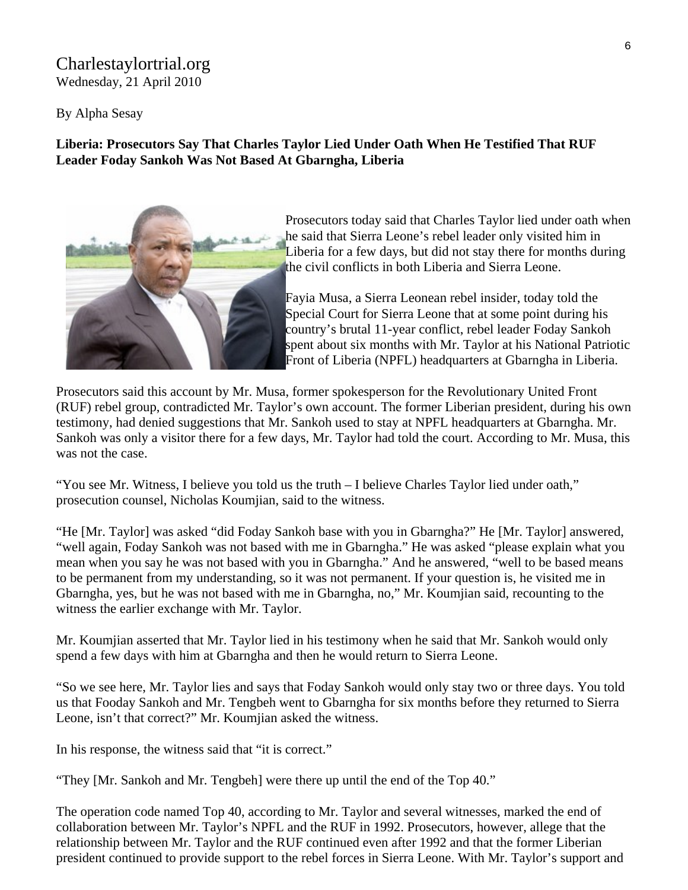# Charlestaylortrial.org Wednesday, 21 April 2010

By Alpha Sesay

## **[Liberia:](http://allafrica.com/liberia/) Prosecutors Say That Charles Taylor Lied Under Oath When He Testified That RUF Leader Foday Sankoh Was Not Based At Gbarngha, Liberia**



Prosecutors today said that Charles Taylor lied under oath w hen he said that Sierra Leone's rebel leader only visited him in Liberia for a few days, but did not stay there for months during the civil conflicts in both Liberia and Sierra Leone.

Fayia Musa, a Sierra Leonean rebel insider, today told the Special Court for Sierra Leone that at some point during his country's brutal 11-year conflict, rebel leader Foday Sankoh spent about six months with Mr. Taylor at his National Patriotic Front of Liberia (NPFL) headquarters at Gbarngha in Liberia.

Prosecutors said this account by Mr. Musa, former spokesperson for the Revolutionary United Front (RUF) rebel group, contradicted Mr. Taylor's own account. The former Liberian president, during his own testimony, had denied suggestions that Mr. Sankoh used to stay at NPFL headquarters at Gbarngha. Mr. Sankoh was only a visitor there for a few days, Mr. Taylor had told the court. According to Mr. Musa, this was not the case.

"You see Mr. Witness, I believe you told us the truth – I believe Charles Taylor lied under oath," prosecution counsel, Nicholas Koumjian, said to the witness.

"He [Mr. Taylor] was asked "did Foday Sankoh base with you in Gbarngha?" He [Mr. Taylor] answered, "well again, Foday Sankoh was not based with me in Gbarngha." He was asked "please explain what you mean when you say he was not based with you in Gbarngha." And he answered, "well to be based means to be permanent from my understanding, so it was not permanent. If your question is, he visited me in Gbarngha, yes, but he was not based with me in Gbarngha, no," Mr. Koumjian said, recounting to the witness the earlier exchange with Mr. Taylor.

Mr. Koumjian asserted that Mr. Taylor lied in his testimony when he said that Mr. Sankoh would only spend a few days with him at Gbarngha and then he would return to Sierra Leone.

"So we see here, Mr. Taylor lies and says that Foday Sankoh would only stay two or three days. You told us that Fooday Sankoh and Mr. Tengbeh went to Gbarngha for six months before they returned to Sierra Leone, isn't that correct?" Mr. Koumjian asked the witness.

In his response, the witness said that "it is correct."

"They [Mr. Sankoh and Mr. Tengbeh] were there up until the end of the Top 40."

The operation code named Top 40, according to Mr. Taylor and several witnesses, marked the end of collaboration between Mr. Taylor's NPFL and the RUF in 1992. Prosecutors, however, allege that the relationship between Mr. Taylor and the RUF continued even after 1992 and that the former Liberian president continued to provide support to the rebel forces in Sierra Leone. With Mr. Taylor's support and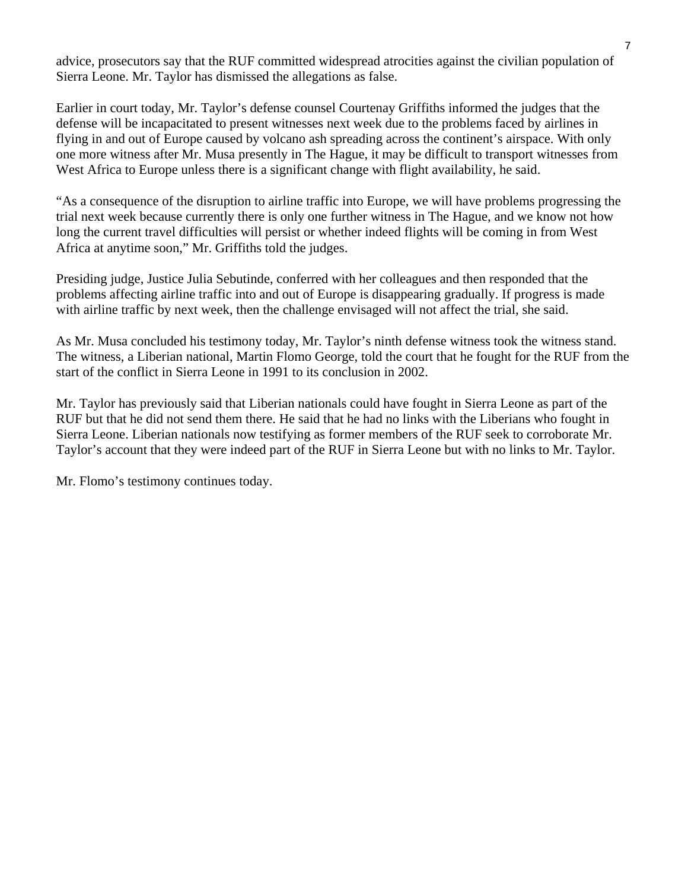advice, prosecutors say that the RUF committed widespread atrocities against the civilian population of Sierra Leone. Mr. Taylor has dismissed the allegations as false.

Earlier in court today, Mr. Taylor's defense counsel Courtenay Griffiths informed the judges that the defense will be incapacitated to present witnesses next week due to the problems faced by airlines in flying in and out of Europe caused by volcano ash spreading across the continent's airspace. With only one more witness after Mr. Musa presently in The Hague, it may be difficult to transport witnesses from West Africa to Europe unless there is a significant change with flight availability, he said.

"As a consequence of the disruption to airline traffic into Europe, we will have problems progressing the trial next week because currently there is only one further witness in The Hague, and we know not how long the current travel difficulties will persist or whether indeed flights will be coming in from West Africa at anytime soon," Mr. Griffiths told the judges.

Presiding judge, Justice Julia Sebutinde, conferred with her colleagues and then responded that the problems affecting airline traffic into and out of Europe is disappearing gradually. If progress is made with airline traffic by next week, then the challenge envisaged will not affect the trial, she said.

As Mr. Musa concluded his testimony today, Mr. Taylor's ninth defense witness took the witness stand. The witness, a Liberian national, Martin Flomo George, told the court that he fought for the RUF from the start of the conflict in Sierra Leone in 1991 to its conclusion in 2002.

Mr. Taylor has previously said that Liberian nationals could have fought in Sierra Leone as part of the RUF but that he did not send them there. He said that he had no links with the Liberians who fought in Sierra Leone. Liberian nationals now testifying as former members of the RUF seek to corroborate Mr. Taylor's account that they were indeed part of the RUF in Sierra Leone but with no links to Mr. Taylor.

Mr. Flomo's testimony continues today.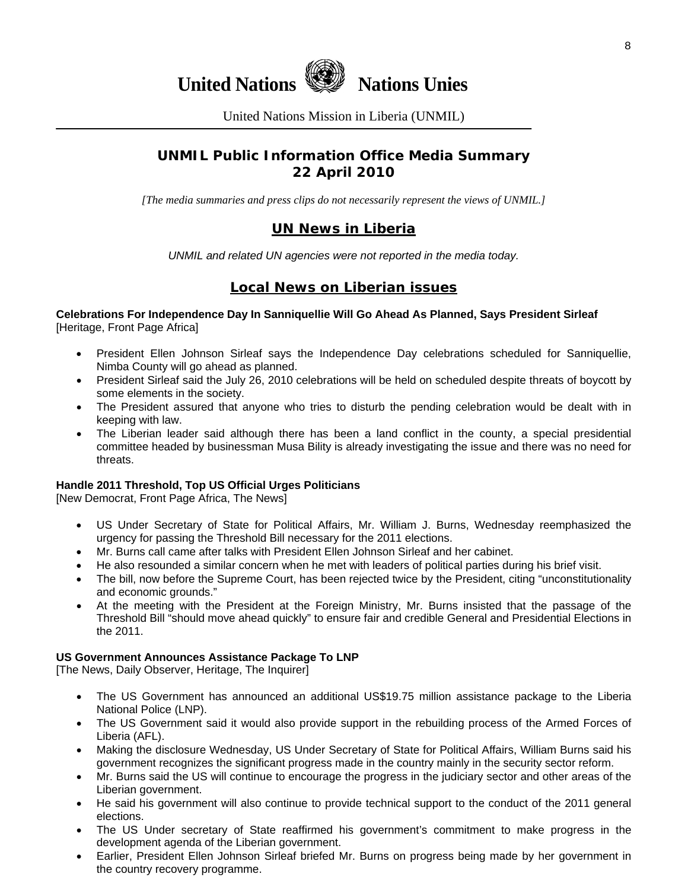

United Nations Mission in Liberia (UNMIL)

# **UNMIL Public Information Office Media Summary 22 April 2010**

*[The media summaries and press clips do not necessarily represent the views of UNMIL.]* 

# **UN News in Liberia**

*UNMIL and related UN agencies were not reported in the media today.* 

# **Local News on Liberian issues**

**Celebrations For Independence Day In Sanniquellie Will Go Ahead As Planned, Says President Sirleaf** [Heritage, Front Page Africa]

- President Ellen Johnson Sirleaf says the Independence Day celebrations scheduled for Sanniquellie, Nimba County will go ahead as planned.
- President Sirleaf said the July 26, 2010 celebrations will be held on scheduled despite threats of boycott by some elements in the society.
- The President assured that anyone who tries to disturb the pending celebration would be dealt with in keeping with law.
- The Liberian leader said although there has been a land conflict in the county, a special presidential committee headed by businessman Musa Bility is already investigating the issue and there was no need for threats.

## **Handle 2011 Threshold, Top US Official Urges Politicians**

[New Democrat, Front Page Africa, The News]

- US Under Secretary of State for Political Affairs, Mr. William J. Burns, Wednesday reemphasized the urgency for passing the Threshold Bill necessary for the 2011 elections.
- Mr. Burns call came after talks with President Ellen Johnson Sirleaf and her cabinet.
- He also resounded a similar concern when he met with leaders of political parties during his brief visit.
- The bill, now before the Supreme Court, has been rejected twice by the President, citing "unconstitutionality and economic grounds."
- At the meeting with the President at the Foreign Ministry, Mr. Burns insisted that the passage of the Threshold Bill "should move ahead quickly" to ensure fair and credible General and Presidential Elections in the 2011.

## **US Government Announces Assistance Package To LNP**

[The News, Daily Observer, Heritage, The Inquirer]

- The US Government has announced an additional US\$19.75 million assistance package to the Liberia National Police (LNP).
- The US Government said it would also provide support in the rebuilding process of the Armed Forces of Liberia (AFL).
- Making the disclosure Wednesday, US Under Secretary of State for Political Affairs, William Burns said his government recognizes the significant progress made in the country mainly in the security sector reform.
- Mr. Burns said the US will continue to encourage the progress in the judiciary sector and other areas of the Liberian government.
- He said his government will also continue to provide technical support to the conduct of the 2011 general elections.
- The US Under secretary of State reaffirmed his government's commitment to make progress in the development agenda of the Liberian government.
- Earlier, President Ellen Johnson Sirleaf briefed Mr. Burns on progress being made by her government in the country recovery programme.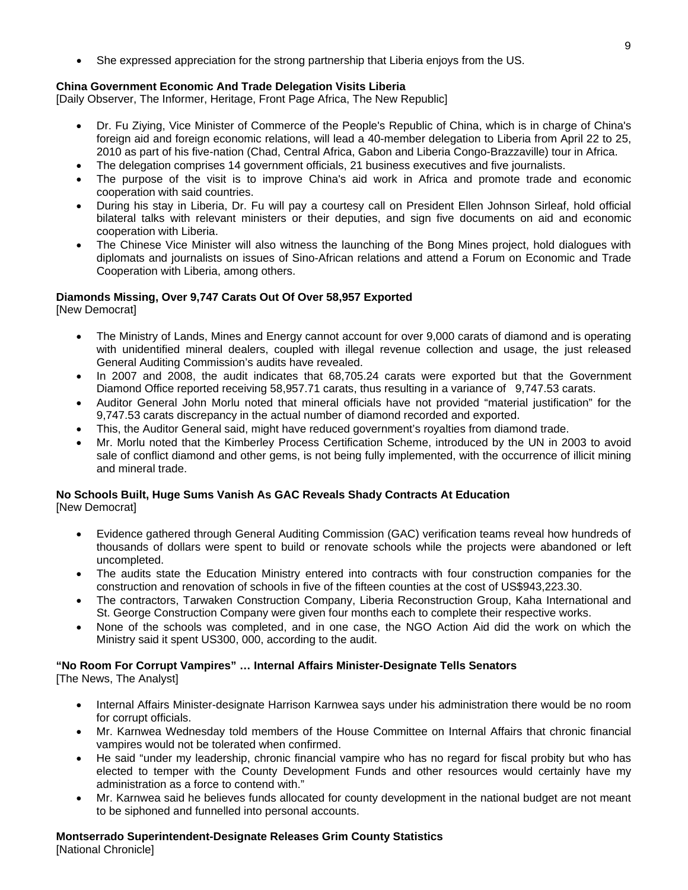• She expressed appreciation for the strong partnership that Liberia enjoys from the US.

### **China Government Economic And Trade Delegation Visits Liberia**

[Daily Observer, The Informer, Heritage, Front Page Africa, The New Republic]

- Dr. Fu Ziying, Vice Minister of Commerce of the People's Republic of China, which is in charge of China's foreign aid and foreign economic relations, will lead a 40-member delegation to Liberia from April 22 to 25, 2010 as part of his five-nation (Chad, Central Africa, Gabon and Liberia Congo-Brazzaville) tour in Africa.
- The delegation comprises 14 government officials, 21 business executives and five journalists.
- The purpose of the visit is to improve China's aid work in Africa and promote trade and economic cooperation with said countries.
- During his stay in Liberia, Dr. Fu will pay a courtesy call on President Ellen Johnson Sirleaf, hold official bilateral talks with relevant ministers or their deputies, and sign five documents on aid and economic cooperation with Liberia.
- The Chinese Vice Minister will also witness the launching of the Bong Mines project, hold dialogues with diplomats and journalists on issues of Sino-African relations and attend a Forum on Economic and Trade Cooperation with Liberia, among others.

## **Diamonds Missing, Over 9,747 Carats Out Of Over 58,957 Exported**

[New Democrat]

- The Ministry of Lands, Mines and Energy cannot account for over 9,000 carats of diamond and is operating with unidentified mineral dealers, coupled with illegal revenue collection and usage, the just released General Auditing Commission's audits have revealed.
- In 2007 and 2008, the audit indicates that 68,705.24 carats were exported but that the Government Diamond Office reported receiving 58,957.71 carats, thus resulting in a variance of 9,747.53 carats.
- Auditor General John Morlu noted that mineral officials have not provided "material justification" for the 9,747.53 carats discrepancy in the actual number of diamond recorded and exported.
- This, the Auditor General said, might have reduced government's royalties from diamond trade.
- Mr. Morlu noted that the Kimberley Process Certification Scheme, introduced by the UN in 2003 to avoid sale of conflict diamond and other gems, is not being fully implemented, with the occurrence of illicit mining and mineral trade.

## **No Schools Built, Huge Sums Vanish As GAC Reveals Shady Contracts At Education**

[New Democrat]

- Evidence gathered through General Auditing Commission (GAC) verification teams reveal how hundreds of thousands of dollars were spent to build or renovate schools while the projects were abandoned or left uncompleted.
- The audits state the Education Ministry entered into contracts with four construction companies for the construction and renovation of schools in five of the fifteen counties at the cost of US\$943,223.30.
- The contractors, Tarwaken Construction Company, Liberia Reconstruction Group, Kaha International and St. George Construction Company were given four months each to complete their respective works.
- None of the schools was completed, and in one case, the NGO Action Aid did the work on which the Ministry said it spent US300, 000, according to the audit.

#### **"No Room For Corrupt Vampires" … Internal Affairs Minister-Designate Tells Senators**

[The News, The Analyst]

- Internal Affairs Minister-designate Harrison Karnwea says under his administration there would be no room for corrupt officials.
- Mr. Karnwea Wednesday told members of the House Committee on Internal Affairs that chronic financial vampires would not be tolerated when confirmed.
- He said "under my leadership, chronic financial vampire who has no regard for fiscal probity but who has elected to temper with the County Development Funds and other resources would certainly have my administration as a force to contend with."
- Mr. Karnwea said he believes funds allocated for county development in the national budget are not meant to be siphoned and funnelled into personal accounts.

**Montserrado Superintendent-Designate Releases Grim County Statistics** 

[National Chronicle]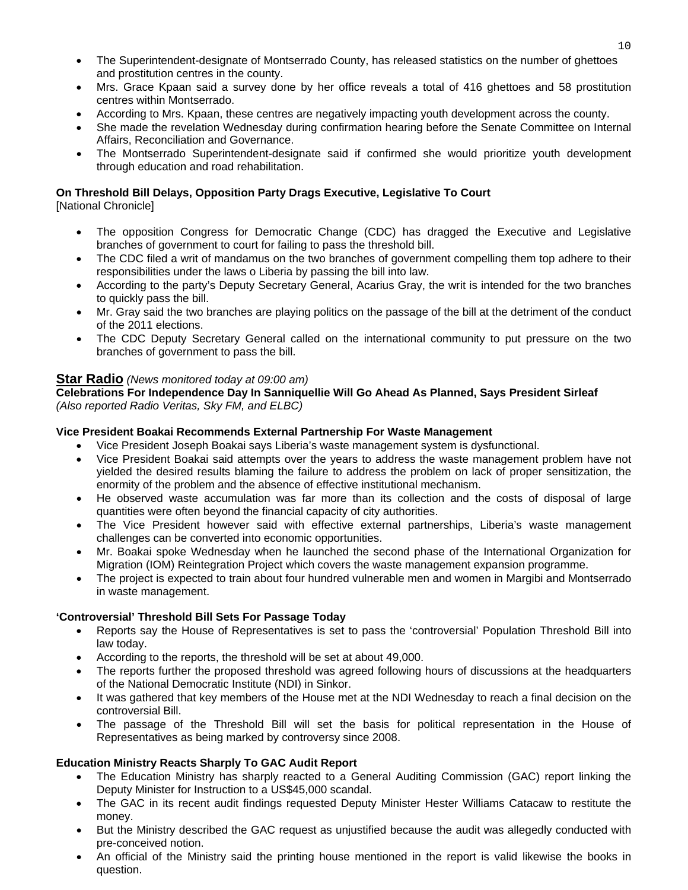- The Superintendent-designate of Montserrado County, has released statistics on the number of ghettoes and prostitution centres in the county.
- Mrs. Grace Kpaan said a survey done by her office reveals a total of 416 ghettoes and 58 prostitution centres within Montserrado.
- According to Mrs. Kpaan, these centres are negatively impacting youth development across the county.
- She made the revelation Wednesday during confirmation hearing before the Senate Committee on Internal Affairs, Reconciliation and Governance.
- The Montserrado Superintendent-designate said if confirmed she would prioritize youth development through education and road rehabilitation.

## **On Threshold Bill Delays, Opposition Party Drags Executive, Legislative To Court**

[National Chronicle]

- The opposition Congress for Democratic Change (CDC) has dragged the Executive and Legislative branches of government to court for failing to pass the threshold bill.
- The CDC filed a writ of mandamus on the two branches of government compelling them top adhere to their responsibilities under the laws o Liberia by passing the bill into law.
- According to the party's Deputy Secretary General, Acarius Gray, the writ is intended for the two branches to quickly pass the bill.
- Mr. Gray said the two branches are playing politics on the passage of the bill at the detriment of the conduct of the 2011 elections.
- The CDC Deputy Secretary General called on the international community to put pressure on the two branches of government to pass the bill.

## **Star Radio** *(News monitored today at 09:00 am)*

**Celebrations For Independence Day In Sanniquellie Will Go Ahead As Planned, Says President Sirleaf** *(Also reported Radio Veritas, Sky FM, and ELBC)*

## **Vice President Boakai Recommends External Partnership For Waste Management**

- Vice President Joseph Boakai says Liberia's waste management system is dysfunctional.
- Vice President Boakai said attempts over the years to address the waste management problem have not yielded the desired results blaming the failure to address the problem on lack of proper sensitization, the enormity of the problem and the absence of effective institutional mechanism.
- He observed waste accumulation was far more than its collection and the costs of disposal of large quantities were often beyond the financial capacity of city authorities.
- The Vice President however said with effective external partnerships, Liberia's waste management challenges can be converted into economic opportunities.
- Mr. Boakai spoke Wednesday when he launched the second phase of the International Organization for Migration (IOM) Reintegration Project which covers the waste management expansion programme.
- The project is expected to train about four hundred vulnerable men and women in Margibi and Montserrado in waste management.

## **'Controversial' Threshold Bill Sets For Passage Today**

- Reports say the House of Representatives is set to pass the 'controversial' Population Threshold Bill into law today.
- According to the reports, the threshold will be set at about 49,000.
- The reports further the proposed threshold was agreed following hours of discussions at the headquarters of the National Democratic Institute (NDI) in Sinkor.
- It was gathered that key members of the House met at the NDI Wednesday to reach a final decision on the controversial Bill.
- The passage of the Threshold Bill will set the basis for political representation in the House of Representatives as being marked by controversy since 2008.

## **Education Ministry Reacts Sharply To GAC Audit Report**

- The Education Ministry has sharply reacted to a General Auditing Commission (GAC) report linking the Deputy Minister for Instruction to a US\$45,000 scandal.
- The GAC in its recent audit findings requested Deputy Minister Hester Williams Catacaw to restitute the money.
- But the Ministry described the GAC request as unjustified because the audit was allegedly conducted with pre-conceived notion.
- An official of the Ministry said the printing house mentioned in the report is valid likewise the books in question.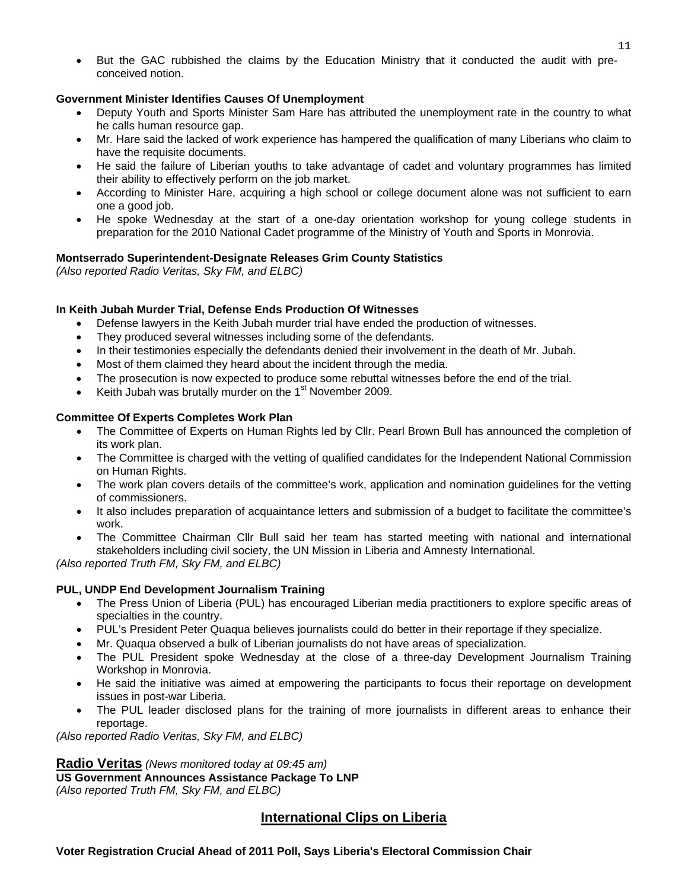• But the GAC rubbished the claims by the Education Ministry that it conducted the audit with preconceived notion.

## **Government Minister Identifies Causes Of Unemployment**

- Deputy Youth and Sports Minister Sam Hare has attributed the unemployment rate in the country to what he calls human resource gap.
- Mr. Hare said the lacked of work experience has hampered the qualification of many Liberians who claim to have the requisite documents.
- He said the failure of Liberian youths to take advantage of cadet and voluntary programmes has limited their ability to effectively perform on the job market.
- According to Minister Hare, acquiring a high school or college document alone was not sufficient to earn one a good job.
- He spoke Wednesday at the start of a one-day orientation workshop for young college students in preparation for the 2010 National Cadet programme of the Ministry of Youth and Sports in Monrovia.

### **Montserrado Superintendent-Designate Releases Grim County Statistics**

*(Also reported Radio Veritas, Sky FM, and ELBC)*

## **In Keith Jubah Murder Trial, Defense Ends Production Of Witnesses**

- Defense lawyers in the Keith Jubah murder trial have ended the production of witnesses.
- They produced several witnesses including some of the defendants.
- In their testimonies especially the defendants denied their involvement in the death of Mr. Jubah.
- Most of them claimed they heard about the incident through the media.
- The prosecution is now expected to produce some rebuttal witnesses before the end of the trial.
- Keith Jubah was brutally murder on the 1<sup>st</sup> November 2009.

### **Committee Of Experts Completes Work Plan**

- The Committee of Experts on Human Rights led by Cllr. Pearl Brown Bull has announced the completion of its work plan.
- The Committee is charged with the vetting of qualified candidates for the Independent National Commission on Human Rights.
- The work plan covers details of the committee's work, application and nomination guidelines for the vetting of commissioners.
- It also includes preparation of acquaintance letters and submission of a budget to facilitate the committee's work.
- The Committee Chairman Cllr Bull said her team has started meeting with national and international stakeholders including civil society, the UN Mission in Liberia and Amnesty International.

*(Also reported Truth FM, Sky FM, and ELBC)*

#### **PUL, UNDP End Development Journalism Training**

- The Press Union of Liberia (PUL) has encouraged Liberian media practitioners to explore specific areas of specialties in the country.
- PUL's President Peter Quaqua believes journalists could do better in their reportage if they specialize.
- Mr. Quaqua observed a bulk of Liberian journalists do not have areas of specialization.
- The PUL President spoke Wednesday at the close of a three-day Development Journalism Training Workshop in Monrovia.
- He said the initiative was aimed at empowering the participants to focus their reportage on development issues in post-war Liberia.
- The PUL leader disclosed plans for the training of more journalists in different areas to enhance their reportage.

*(Also reported Radio Veritas, Sky FM, and ELBC)*

## **Radio Veritas** *(News monitored today at 09:45 am)*

**US Government Announces Assistance Package To LNP** 

*(Also reported Truth FM, Sky FM, and ELBC)*

## **International Clips on Liberia**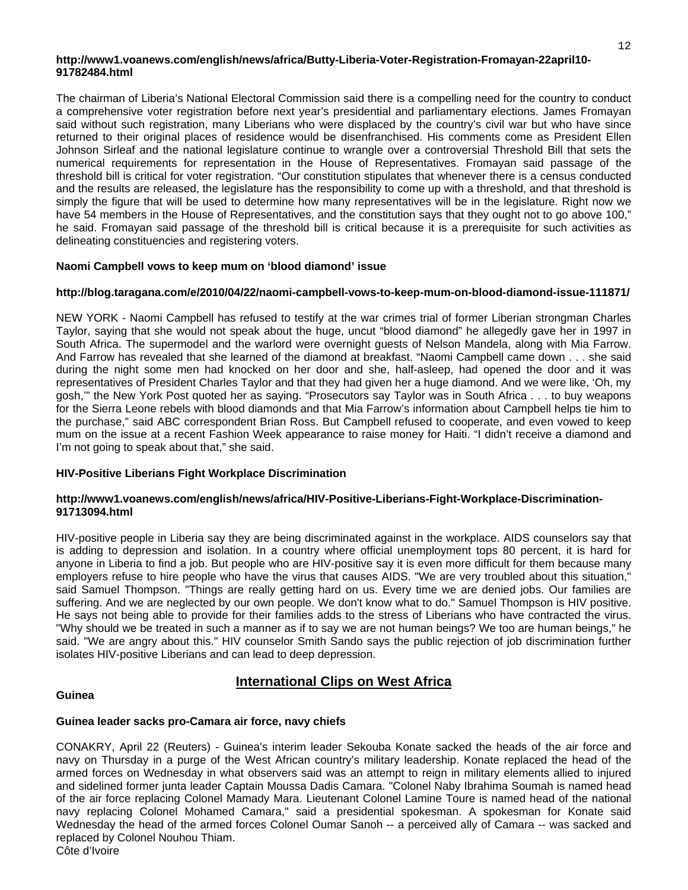#### **http://www1.voanews.com/english/news/africa/Butty-Liberia-Voter-Registration-Fromayan-22april10- 91782484.html**

The chairman of Liberia's National Electoral Commission said there is a compelling need for the country to conduct a comprehensive voter registration before next year's presidential and parliamentary elections. James Fromayan said without such registration, many Liberians who were displaced by the country's civil war but who have since returned to their original places of residence would be disenfranchised. His comments come as President Ellen Johnson Sirleaf and the national legislature continue to wrangle over a controversial Threshold Bill that sets the numerical requirements for representation in the House of Representatives. Fromayan said passage of the threshold bill is critical for voter registration. "Our constitution stipulates that whenever there is a census conducted and the results are released, the legislature has the responsibility to come up with a threshold, and that threshold is simply the figure that will be used to determine how many representatives will be in the legislature. Right now we have 54 members in the House of Representatives, and the constitution says that they ought not to go above 100," he said. Fromayan said passage of the threshold bill is critical because it is a prerequisite for such activities as delineating constituencies and registering voters.

#### **Naomi Campbell vows to keep mum on 'blood diamond' issue**

#### **http://blog.taragana.com/e/2010/04/22/naomi-campbell-vows-to-keep-mum-on-blood-diamond-issue-111871/**

NEW YORK - Naomi Campbell has refused to testify at the war crimes trial of former Liberian strongman Charles Taylor, saying that she would not speak about the huge, uncut "blood diamond" he allegedly gave her in 1997 in South Africa. The supermodel and the warlord were overnight guests of Nelson Mandela, along with Mia Farrow. And Farrow has revealed that she learned of the diamond at breakfast. "Naomi Campbell came down . . . she said during the night some men had knocked on her door and she, half-asleep, had opened the door and it was representatives of President Charles Taylor and that they had given her a huge diamond. And we were like, 'Oh, my gosh,'" the New York Post quoted her as saying. "Prosecutors say Taylor was in South Africa . . . to buy weapons for the Sierra Leone rebels with blood diamonds and that Mia Farrow's information about Campbell helps tie him to the purchase," said ABC correspondent Brian Ross. But Campbell refused to cooperate, and even vowed to keep mum on the issue at a recent Fashion Week appearance to raise money for Haiti. "I didn't receive a diamond and I'm not going to speak about that," she said.

#### **HIV-Positive Liberians Fight Workplace Discrimination**

#### **http://www1.voanews.com/english/news/africa/HIV-Positive-Liberians-Fight-Workplace-Discrimination-91713094.html**

HIV-positive people in Liberia say they are being discriminated against in the workplace. AIDS counselors say that is adding to depression and isolation. In a country where official unemployment tops 80 percent, it is hard for anyone in Liberia to find a job. But people who are HIV-positive say it is even more difficult for them because many employers refuse to hire people who have the virus that causes AIDS. "We are very troubled about this situation," said Samuel Thompson. "Things are really getting hard on us. Every time we are denied jobs. Our families are suffering. And we are neglected by our own people. We don't know what to do." Samuel Thompson is HIV positive. He says not being able to provide for their families adds to the stress of Liberians who have contracted the virus. "Why should we be treated in such a manner as if to say we are not human beings? We too are human beings," he said. "We are angry about this." HIV counselor Smith Sando says the public rejection of job discrimination further isolates HIV-positive Liberians and can lead to deep depression.

## **International Clips on West Africa**

#### **Guinea**

## **Guinea leader sacks pro-Camara air force, navy chiefs**

CONAKRY, April 22 (Reuters) - Guinea's interim leader Sekouba Konate sacked the heads of the air force and navy on Thursday in a purge of the West African country's military leadership. Konate replaced the head of the armed forces on Wednesday in what observers said was an attempt to reign in military elements allied to injured and sidelined former junta leader Captain Moussa Dadis Camara. "Colonel Naby Ibrahima Soumah is named head of the air force replacing Colonel Mamady Mara. Lieutenant Colonel Lamine Toure is named head of the national navy replacing Colonel Mohamed Camara," said a presidential spokesman. A spokesman for Konate said Wednesday the head of the armed forces Colonel Oumar Sanoh -- a perceived ally of Camara -- was sacked and replaced by Colonel Nouhou Thiam.

Côte d'Ivoire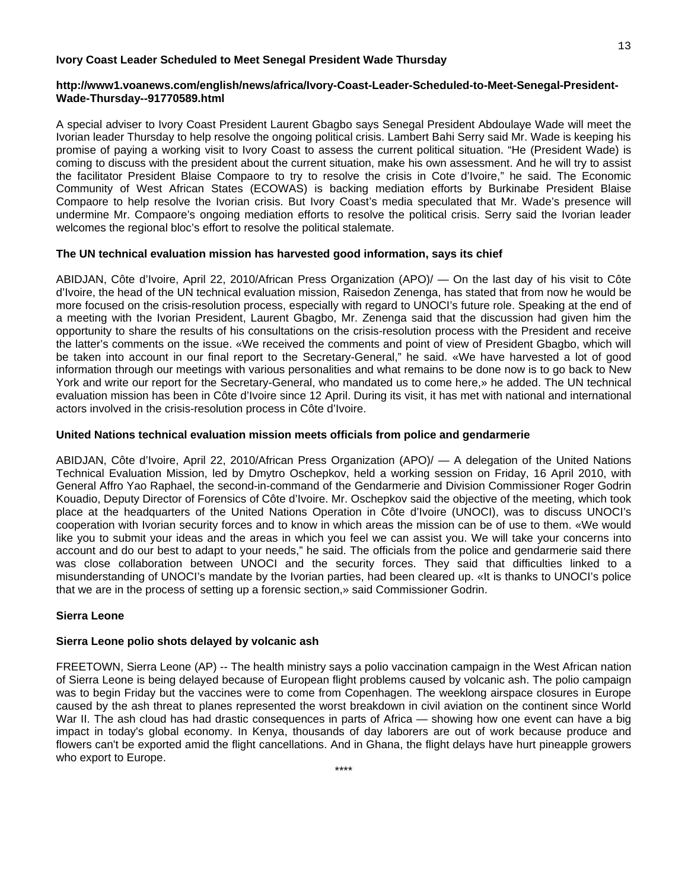#### **Ivory Coast Leader Scheduled to Meet Senegal President Wade Thursday**

#### **http://www1.voanews.com/english/news/africa/Ivory-Coast-Leader-Scheduled-to-Meet-Senegal-President-Wade-Thursday--91770589.html**

A special adviser to Ivory Coast President Laurent Gbagbo says Senegal President Abdoulaye Wade will meet the Ivorian leader Thursday to help resolve the ongoing political crisis. Lambert Bahi Serry said Mr. Wade is keeping his promise of paying a working visit to Ivory Coast to assess the current political situation. "He (President Wade) is coming to discuss with the president about the current situation, make his own assessment. And he will try to assist the facilitator President Blaise Compaore to try to resolve the crisis in Cote d'Ivoire," he said. The Economic Community of West African States (ECOWAS) is backing mediation efforts by Burkinabe President Blaise Compaore to help resolve the Ivorian crisis. But Ivory Coast's media speculated that Mr. Wade's presence will undermine Mr. Compaore's ongoing mediation efforts to resolve the political crisis. Serry said the Ivorian leader welcomes the regional bloc's effort to resolve the political stalemate.

### **The UN technical evaluation mission has harvested good information, says its chief**

ABIDJAN, Côte d'Ivoire, April 22, 2010/African Press Organization (APO)/ — On the last day of his visit to Côte d'Ivoire, the head of the UN technical evaluation mission, Raisedon Zenenga, has stated that from now he would be more focused on the crisis-resolution process, especially with regard to UNOCI's future role. Speaking at the end of a meeting with the Ivorian President, Laurent Gbagbo, Mr. Zenenga said that the discussion had given him the opportunity to share the results of his consultations on the crisis-resolution process with the President and receive the latter's comments on the issue. «We received the comments and point of view of President Gbagbo, which will be taken into account in our final report to the Secretary-General," he said. «We have harvested a lot of good information through our meetings with various personalities and what remains to be done now is to go back to New York and write our report for the Secretary-General, who mandated us to come here,» he added. The UN technical evaluation mission has been in Côte d'Ivoire since 12 April. During its visit, it has met with national and international actors involved in the crisis-resolution process in Côte d'Ivoire.

#### **United Nations technical evaluation mission meets officials from police and gendarmerie**

ABIDJAN, Côte d'Ivoire, April 22, 2010/African Press Organization (APO)/ — A delegation of the United Nations Technical Evaluation Mission, led by Dmytro Oschepkov, held a working session on Friday, 16 April 2010, with General Affro Yao Raphael, the second-in-command of the Gendarmerie and Division Commissioner Roger Godrin Kouadio, Deputy Director of Forensics of Côte d'Ivoire. Mr. Oschepkov said the objective of the meeting, which took place at the headquarters of the United Nations Operation in Côte d'Ivoire (UNOCI), was to discuss UNOCI's cooperation with Ivorian security forces and to know in which areas the mission can be of use to them. «We would like you to submit your ideas and the areas in which you feel we can assist you. We will take your concerns into account and do our best to adapt to your needs," he said. The officials from the police and gendarmerie said there was close collaboration between UNOCI and the security forces. They said that difficulties linked to a misunderstanding of UNOCI's mandate by the Ivorian parties, had been cleared up. «It is thanks to UNOCI's police that we are in the process of setting up a forensic section,» said Commissioner Godrin.

## **Sierra Leone**

## **Sierra Leone polio shots delayed by volcanic ash**

FREETOWN, Sierra Leone (AP) -- The health ministry says a polio vaccination campaign in the West African nation of Sierra Leone is being delayed because of European flight problems caused by volcanic ash. The polio campaign was to begin Friday but the vaccines were to come from Copenhagen. The weeklong airspace closures in Europe caused by the ash threat to planes represented the worst breakdown in civil aviation on the continent since World War II. The ash cloud has had drastic consequences in parts of Africa — showing how one event can have a big impact in today's global economy. In Kenya, thousands of day laborers are out of work because produce and flowers can't be exported amid the flight cancellations. And in Ghana, the flight delays have hurt pineapple growers who export to Europe.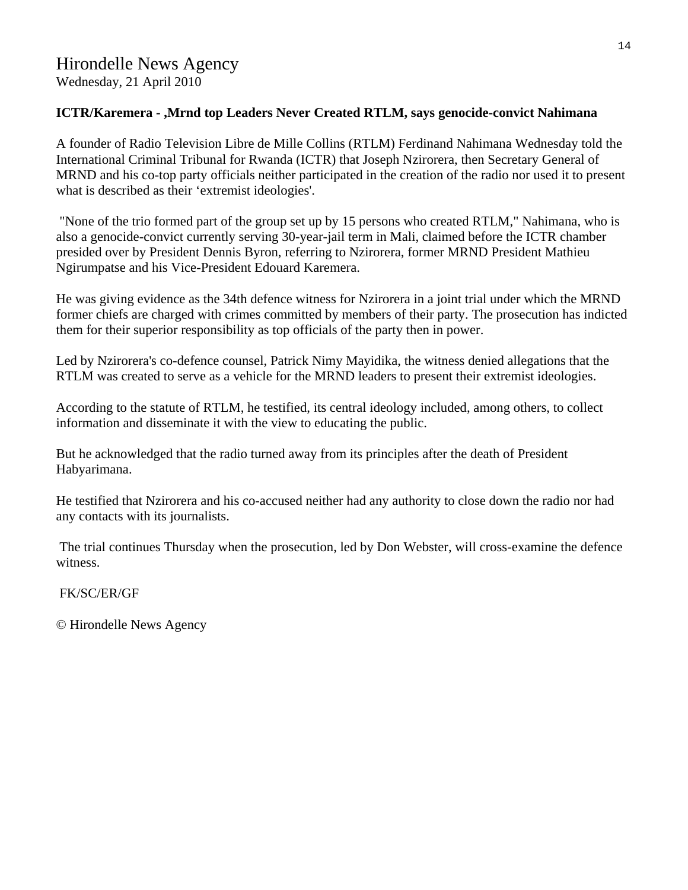# Hirondelle News Agency Wednesday, 21 April 2010

## **ICTR/Karemera - ,Mrnd top Leaders Never Created RTLM, says genocide-convict Nahimana**

A founder of Radio Television Libre de Mille Collins (RTLM) Ferdinand Nahimana Wednesday told the International Criminal Tribunal for Rwanda (ICTR) that Joseph Nzirorera, then Secretary General of MRND and his co-top party officials neither participated in the creation of the radio nor used it to present what is described as their 'extremist ideologies'.

 "None of the trio formed part of the group set up by 15 persons who created RTLM," Nahimana, who is also a genocide-convict currently serving 30-year-jail term in Mali, claimed before the ICTR chamber presided over by President Dennis Byron, referring to Nzirorera, former MRND President Mathieu Ngirumpatse and his Vice-President Edouard Karemera.

He was giving evidence as the 34th defence witness for Nzirorera in a joint trial under which the MRND former chiefs are charged with crimes committed by members of their party. The prosecution has indicted them for their superior responsibility as top officials of the party then in power.

Led by Nzirorera's co-defence counsel, Patrick Nimy Mayidika, the witness denied allegations that the RTLM was created to serve as a vehicle for the MRND leaders to present their extremist ideologies.

According to the statute of RTLM, he testified, its central ideology included, among others, to collect information and disseminate it with the view to educating the public.

But he acknowledged that the radio turned away from its principles after the death of President Habyarimana.

He testified that Nzirorera and his co-accused neither had any authority to close down the radio nor had any contacts with its journalists.

 The trial continues Thursday when the prosecution, led by Don Webster, will cross-examine the defence witness.

FK/SC/ER/GF

© Hirondelle News Agency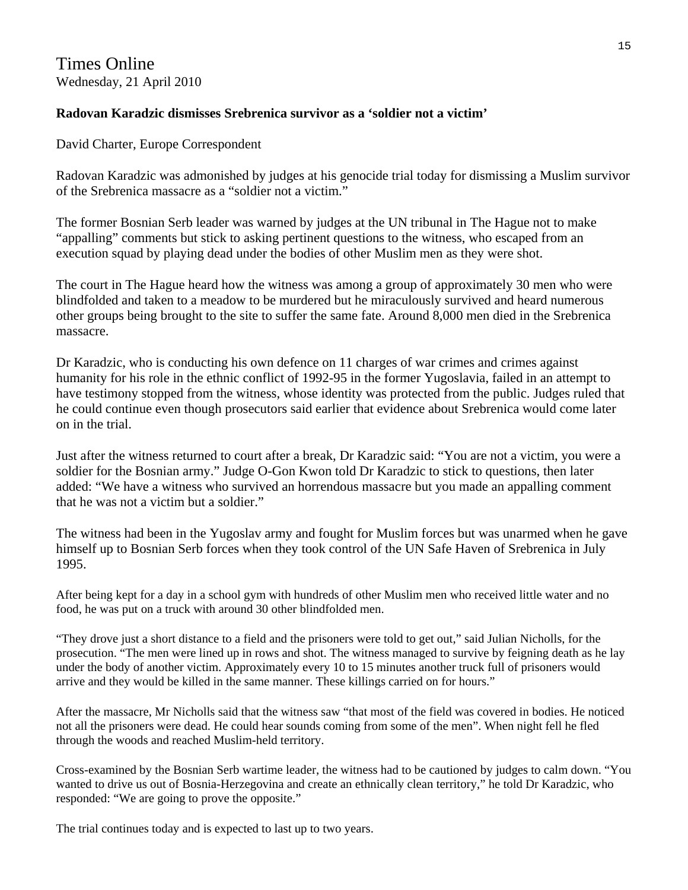# Times Online Wednesday, 21 April 2010

## **Radovan Karadzic dismisses Srebrenica survivor as a 'soldier not a victim'**

David Charter, Europe Correspondent

Radovan Karadzic was admonished by judges at his genocide trial today for dismissing a Muslim survivor of the Srebrenica massacre as a "soldier not a victim."

The former Bosnian Serb leader was warned by judges at the UN tribunal in The Hague not to make "appalling" comments but stick to asking pertinent questions to the witness, who escaped from an execution squad by playing dead under the bodies of other Muslim men as they were shot.

The court in The Hague heard how the witness was among a group of approximately 30 men who were blindfolded and taken to a meadow to be murdered but he miraculously survived and heard numerous other groups being brought to the site to suffer the same fate. Around 8,000 men died in the Srebrenica massacre.

Dr Karadzic, who is conducting his own defence on 11 charges of war crimes and crimes against humanity for his role in the ethnic conflict of 1992-95 in the former Yugoslavia, failed in an attempt to have testimony stopped from the witness, whose identity was protected from the public. Judges ruled that he could continue even though prosecutors said earlier that evidence about Srebrenica would come later on in the trial.

Just after the witness returned to court after a break, Dr Karadzic said: "You are not a victim, you were a soldier for the Bosnian army." Judge O-Gon Kwon told Dr Karadzic to stick to questions, then later added: "We have a witness who survived an horrendous massacre but you made an appalling comment that he was not a victim but a soldier."

The witness had been in the Yugoslav army and fought for Muslim forces but was unarmed when he gave himself up to Bosnian Serb forces when they took control of the UN Safe Haven of Srebrenica in July 1995.

After being kept for a day in a school gym with hundreds of other Muslim men who received little water and no food, he was put on a truck with around 30 other blindfolded men.

"They drove just a short distance to a field and the prisoners were told to get out," said Julian Nicholls, for the prosecution. "The men were lined up in rows and shot. The witness managed to survive by feigning death as he lay under the body of another victim. Approximately every 10 to 15 minutes another truck full of prisoners would arrive and they would be killed in the same manner. These killings carried on for hours."

After the massacre, Mr Nicholls said that the witness saw "that most of the field was covered in bodies. He noticed not all the prisoners were dead. He could hear sounds coming from some of the men". When night fell he fled through the woods and reached Muslim-held territory.

Cross-examined by the Bosnian Serb wartime leader, the witness had to be cautioned by judges to calm down. "You wanted to drive us out of Bosnia-Herzegovina and create an ethnically clean territory," he told Dr Karadzic, who responded: "We are going to prove the opposite."

The trial continues today and is expected to last up to two years.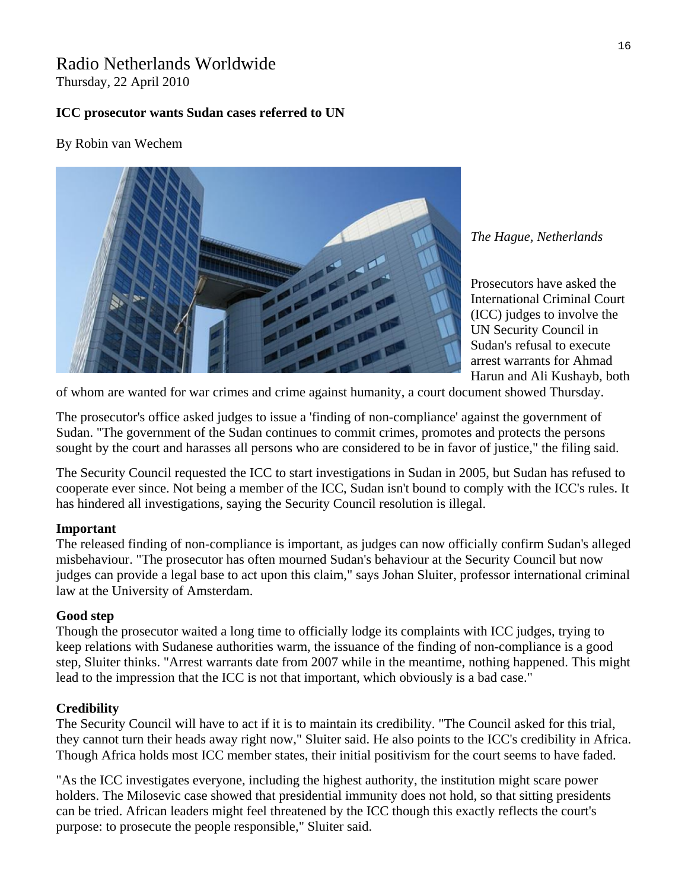# Radio Netherlands Worldwide

Thursday, 22 April 2010

## **ICC prosecutor wants Sudan cases referred to UN**

## By Robin van Wechem



*The Hague, Netherlands* 

Harun and Ali Kushayb, both Prosecutors have asked the International Criminal Court (ICC) judges to involve the UN Security Council in Sudan's refusal to execute arrest warrants for Ahmad

of whom are wanted for war crimes and crime against humanity, a court document showed Thursday.

The prosecutor's office asked judges to issue a 'finding of non-compliance' against the government of Sudan. "The government of the Sudan continues to commit crimes, promotes and protects the persons sought by the court and harasses all persons who are considered to be in favor of justice," the filing said.

The Security Council requested the ICC to start investigations in Sudan in 2005, but Sudan has refused to cooperate ever since. Not being a member of the ICC, Sudan isn't bound to comply with the ICC's rules. It has hindered all investigations, saying the Security Council resolution is illegal.

## **Important**

The released finding of non-compliance is important, as judges can now officially confirm Sudan's alleged misbehaviour. "The prosecutor has often mourned Sudan's behaviour at the Security Council but now judges can provide a legal base to act upon this claim," says Johan Sluiter, professor international criminal law at the University of Amsterdam.

## **Good step**

Though the prosecutor waited a long time to officially lodge its complaints with ICC judges, trying to keep relations with Sudanese authorities warm, the issuance of the finding of non-compliance is a good step, Sluiter thinks. "Arrest warrants date from 2007 while in the meantime, nothing happened. This might lead to the impression that the ICC is not that important, which obviously is a bad case."

## **Credibility**

The Security Council will have to act if it is to maintain its credibility. "The Council asked for this trial, they cannot turn their heads away right now," Sluiter said. He also points to the ICC's credibility in Africa. Though Africa holds most ICC member states, their initial positivism for the court seems to have faded.

"As the ICC investigates everyone, including the highest authority, the institution might scare power holders. The Milosevic case showed that presidential immunity does not hold, so that sitting presidents can be tried. African leaders might feel threatened by the ICC though this exactly reflects the court's purpose: to prosecute the people responsible," Sluiter said.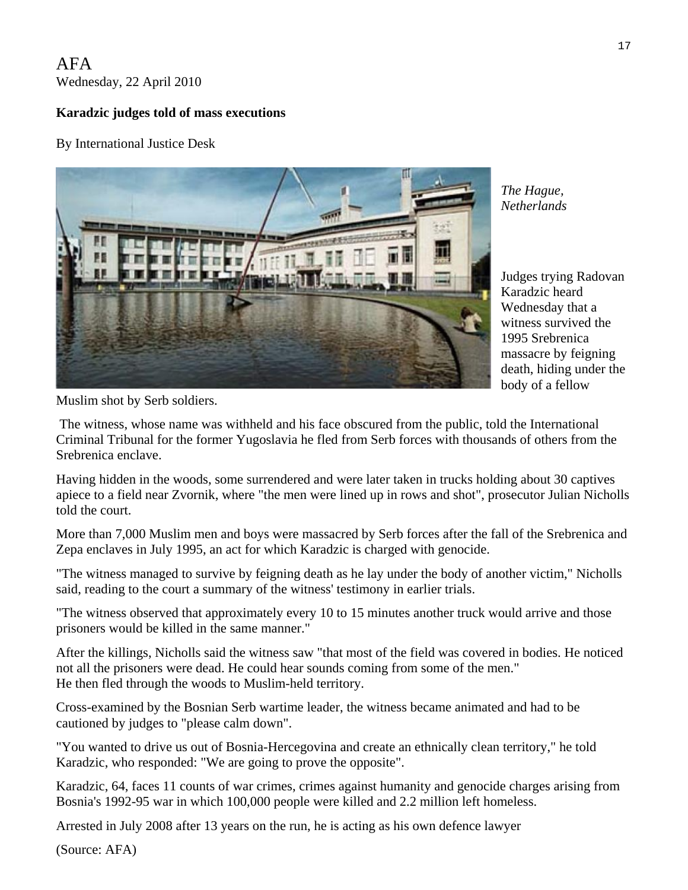# AFA Wednesday, 22 April 2010

# **Karadzic judges told of mass executions**

By International Justice Desk



*The Hague, Netherlands* 

Judges trying Radovan Karadzic heard Wednesday that a witness survived the 1995 Srebrenica massacre by feigning death, hiding under the body of a fellow

Muslim shot by Serb soldiers.

 The witness, whose name was withheld and his face obscured from the public, told the International Criminal Tribunal for the former Yugoslavia he fled from Serb forces with thousands of others from the Srebrenica enclave.

Having hidden in the woods, some surrendered and were later taken in trucks holding about 30 captives apiece to a field near Zvornik, where "the men were lined up in rows and shot", prosecutor Julian Nicholls told the court.

More than 7,000 Muslim men and boys were massacred by Serb forces after the fall of the Srebrenica and Zepa enclaves in July 1995, an act for which Karadzic is charged with genocide.

"The witness managed to survive by feigning death as he lay under the body of another victim," Nicholls said, reading to the court a summary of the witness' testimony in earlier trials.

"The witness observed that approximately every 10 to 15 minutes another truck would arrive and those prisoners would be killed in the same manner."

After the killings, Nicholls said the witness saw "that most of the field was covered in bodies. He noticed not all the prisoners were dead. He could hear sounds coming from some of the men." He then fled through the woods to Muslim-held territory.

Cross-examined by the Bosnian Serb wartime leader, the witness became animated and had to be cautioned by judges to "please calm down".

"You wanted to drive us out of Bosnia-Hercegovina and create an ethnically clean territory," he told Karadzic, who responded: "We are going to prove the opposite".

Karadzic, 64, faces 11 counts of war crimes, crimes against humanity and genocide charges arising from Bosnia's 1992-95 war in which 100,000 people were killed and 2.2 million left homeless.

Arrested in July 2008 after 13 years on the run, he is acting as his own defence lawyer

(Source: AFA)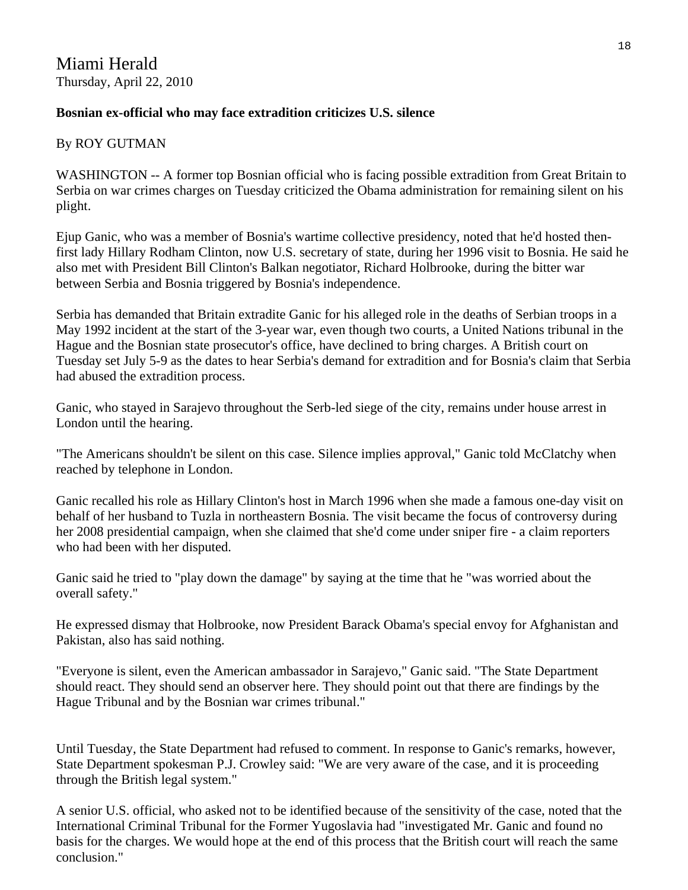# **Bosnian ex-official who may face extradition criticizes U.S. silence**

## By ROY GUTMAN

WASHINGTON -- A former top Bosnian official who is facing possible extradition from Great Britain to Serbia on war crimes charges on Tuesday criticized the Obama administration for remaining silent on his plight.

Ejup Ganic, who was a member of Bosnia's wartime collective presidency, noted that he'd hosted thenfirst lady Hillary Rodham Clinton, now U.S. secretary of state, during her 1996 visit to Bosnia. He said he also met with President Bill Clinton's Balkan negotiator, Richard Holbrooke, during the bitter war between Serbia and Bosnia triggered by Bosnia's independence.

Serbia has demanded that Britain extradite Ganic for his alleged role in the deaths of Serbian troops in a May 1992 incident at the start of the 3-year war, even though two courts, a United Nations tribunal in the Hague and the Bosnian state prosecutor's office, have declined to bring charges. A British court on Tuesday set July 5-9 as the dates to hear Serbia's demand for extradition and for Bosnia's claim that Serbia had abused the extradition process.

Ganic, who stayed in Sarajevo throughout the Serb-led siege of the city, remains under house arrest in London until the hearing.

"The Americans shouldn't be silent on this case. Silence implies approval," Ganic told McClatchy when reached by telephone in London.

Ganic recalled his role as Hillary Clinton's host in March 1996 when she made a famous one-day visit on behalf of her husband to Tuzla in northeastern Bosnia. The visit became the focus of controversy during her 2008 presidential campaign, when she claimed that she'd come under sniper fire - a claim reporters who had been with her disputed.

Ganic said he tried to "play down the damage" by saying at the time that he "was worried about the overall safety."

He expressed dismay that Holbrooke, now President Barack Obama's special envoy for Afghanistan and Pakistan, also has said nothing.

"Everyone is silent, even the American ambassador in Sarajevo," Ganic said. "The State Department should react. They should send an observer here. They should point out that there are findings by the Hague Tribunal and by the Bosnian war crimes tribunal."

Until Tuesday, the State Department had refused to comment. In response to Ganic's remarks, however, State Department spokesman P.J. Crowley said: "We are very aware of the case, and it is proceeding through the British legal system."

A senior U.S. official, who asked not to be identified because of the sensitivity of the case, noted that the International Criminal Tribunal for the Former Yugoslavia had "investigated Mr. Ganic and found no basis for the charges. We would hope at the end of this process that the British court will reach the same conclusion."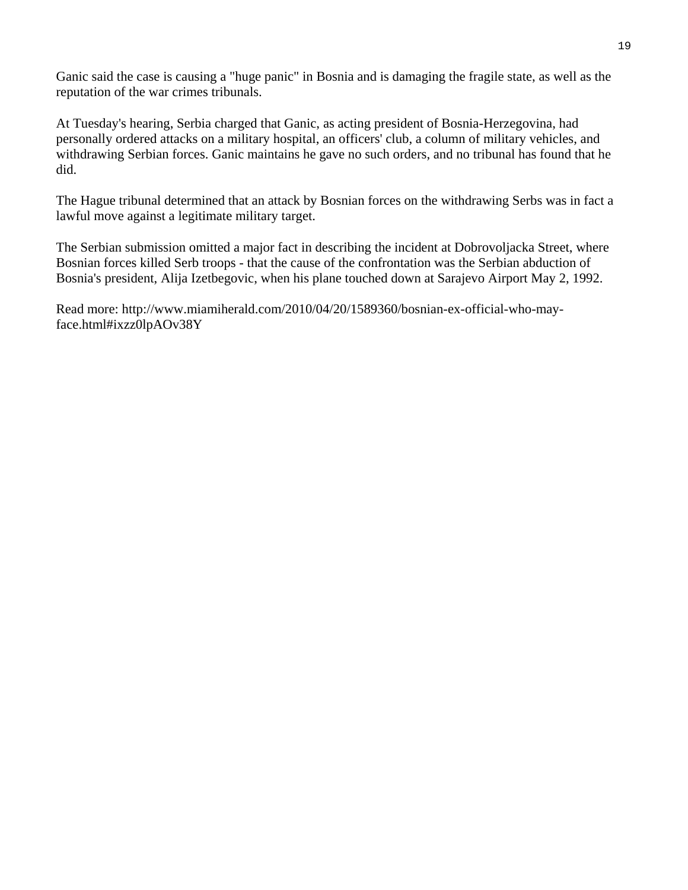Ganic said the case is causing a "huge panic" in Bosnia and is damaging the fragile state, as well as the reputation of the war crimes tribunals.

At Tuesday's hearing, Serbia charged that Ganic, as acting president of Bosnia-Herzegovina, had personally ordered attacks on a military hospital, an officers' club, a column of military vehicles, and withdrawing Serbian forces. Ganic maintains he gave no such orders, and no tribunal has found that he did.

The Hague tribunal determined that an attack by Bosnian forces on the withdrawing Serbs was in fact a lawful move against a legitimate military target.

The Serbian submission omitted a major fact in describing the incident at Dobrovoljacka Street, where Bosnian forces killed Serb troops - that the cause of the confrontation was the Serbian abduction of Bosnia's president, Alija Izetbegovic, when his plane touched down at Sarajevo Airport May 2, 1992.

Read more: [http://www.miamiherald.com/2010/04/20/1589360/bosnian-ex-official-who-may](http://www.miamiherald.com/2010/04/20/1589360/bosnian-ex-official-who-may-face.html#ixzz0lpAOv38Y)[face.html#ixzz0lpAOv38Y](http://www.miamiherald.com/2010/04/20/1589360/bosnian-ex-official-who-may-face.html#ixzz0lpAOv38Y)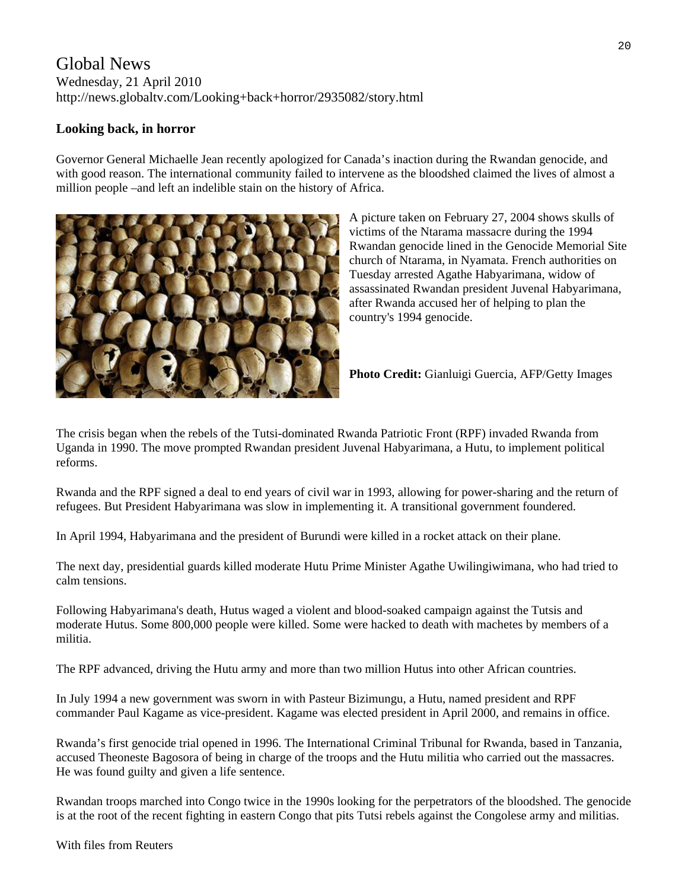# Global News Wednesday, 21 April 2010 http://news.globaltv.com/Looking+back+horror/2935082/story.html

## **Looking back, in horror**

Governor General Michaelle Jean recently apologized for Canada's inaction during the Rwandan genocide, and with good reason. The international community failed to intervene as the bloodshed claimed the lives of almost a million people –and left an indelible stain on the history of Africa.



A picture taken on February 27, 2004 shows skulls of victims of the Ntarama massacre during the 1994 Rwandan genocide lined in the Genocide Memorial Site church of Ntarama, in Nyamata. French authorities on Tuesday arrested Agathe Habyarimana, widow of assassinated Rwandan president Juvenal Habyarimana, after Rwanda accused her of helping to plan the country's 1994 genocide.

**Photo Credit:** Gianluigi Guercia, AFP/Getty Images

The crisis began when the rebels of the Tutsi-dominated Rwanda Patriotic Front (RPF) invaded Rwanda from Uganda in 1990. The move prompted Rwandan president Juvenal Habyarimana, a Hutu, to implement political reforms.

Rwanda and the RPF signed a deal to end years of civil war in 1993, allowing for power-sharing and the return of refugees. But President Habyarimana was slow in implementing it. A transitional government foundered.

In April 1994, Habyarimana and the president of Burundi were killed in a rocket attack on their plane.

The next day, presidential guards killed moderate Hutu Prime Minister Agathe Uwilingiwimana, who had tried to calm tensions.

Following Habyarimana's death, Hutus waged a violent and blood-soaked campaign against the Tutsis and moderate Hutus. Some 800,000 people were killed. Some were hacked to death with machetes by members of a militia.

The RPF advanced, driving the Hutu army and more than two million Hutus into other African countries.

In July 1994 a new government was sworn in with Pasteur Bizimungu, a Hutu, named president and RPF commander Paul Kagame as vice-president. Kagame was elected president in April 2000, and remains in office.

Rwanda's first genocide trial opened in 1996. The International Criminal Tribunal for Rwanda, based in Tanzania, accused Theoneste Bagosora of being in charge of the troops and the Hutu militia who carried out the massacres. He was found guilty and given a life sentence.

Rwandan troops marched into Congo twice in the 1990s looking for the perpetrators of the bloodshed. The genocide is at the root of the recent fighting in eastern Congo that pits Tutsi rebels against the Congolese army and militias.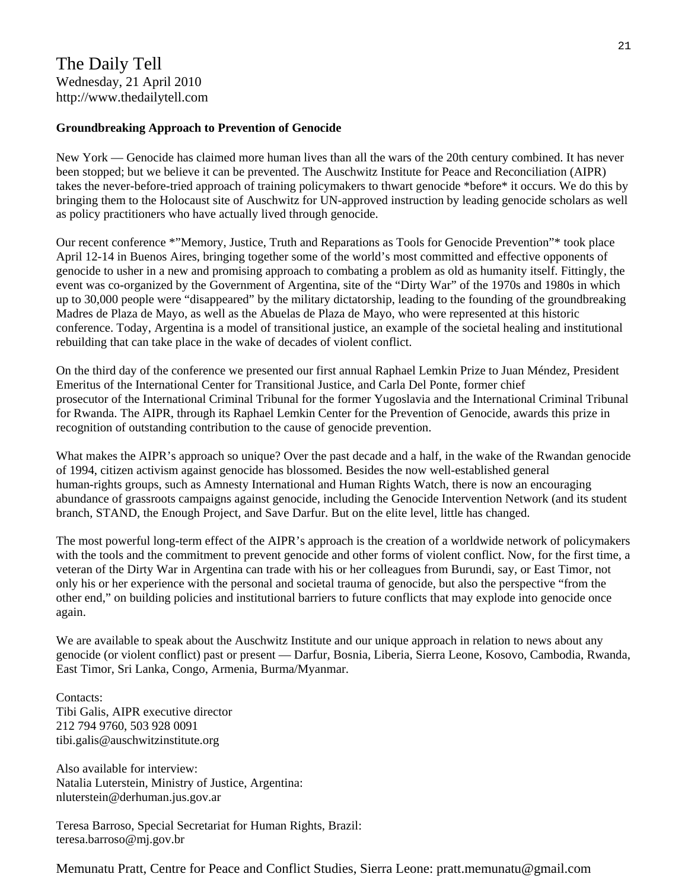# The Daily Tell Wednesday, 21 April 2010 http://www.thedailytell.com

## **Groundbreaking Approach to Prevention of Genocide**

New York — Genocide has claimed more human lives than all the wars of the 20th century combined. It has never been stopped; but we believe it can be prevented. The Auschwitz Institute for Peace and Reconciliation (AIPR) takes the never-before-tried approach of training policymakers to thwart genocide \*before\* it occurs. We do this by bringing them to the Holocaust site of Auschwitz for UN-approved instruction by leading genocide scholars as well as policy practitioners who have actually lived through genocide.

Our recent conference \*"Memory, Justice, Truth and Reparations as Tools for Genocide Prevention"\* took place April 12-14 in Buenos Aires, bringing together some of the world's most committed and effective opponents of genocide to usher in a new and promising approach to combating a problem as old as humanity itself. Fittingly, the event was co-organized by the Government of Argentina, site of the "Dirty War" of the 1970s and 1980s in which up to 30,000 people were "disappeared" by the military dictatorship, leading to the founding of the groundbreaking Madres de Plaza de Mayo, as well as the Abuelas de Plaza de Mayo, who were represented at this historic conference. Today, Argentina is a model of transitional justice, an example of the societal healing and institutional rebuilding that can take place in the wake of decades of violent conflict.

On the third day of the conference we presented our first annual Raphael Lemkin Prize to Juan Méndez, President Emeritus of the International Center for Transitional Justice, and Carla Del Ponte, former chief prosecutor of the International Criminal Tribunal for the former Yugoslavia and the International Criminal Tribunal for Rwanda. The AIPR, through its Raphael Lemkin Center for the Prevention of Genocide, awards this prize in recognition of outstanding contribution to the cause of genocide prevention.

What makes the AIPR's approach so unique? Over the past decade and a half, in the wake of the Rwandan genocide of 1994, citizen activism against genocide has blossomed. Besides the now well-established general human-rights groups, such as Amnesty International and Human Rights Watch, there is now an encouraging abundance of grassroots campaigns against genocide, including the Genocide Intervention Network (and its student branch, STAND, the Enough Project, and Save Darfur. But on the elite level, little has changed.

The most powerful long-term effect of the AIPR's approach is the creation of a worldwide network of policymakers with the tools and the commitment to prevent genocide and other forms of violent conflict. Now, for the first time, a veteran of the Dirty War in Argentina can trade with his or her colleagues from Burundi, say, or East Timor, not only his or her experience with the personal and societal trauma of genocide, but also the perspective "from the other end," on building policies and institutional barriers to future conflicts that may explode into genocide once again.

We are available to speak about the Auschwitz Institute and our unique approach in relation to news about any genocide (or violent conflict) past or present — Darfur, Bosnia, Liberia, Sierra Leone, Kosovo, Cambodia, Rwanda, East Timor, Sri Lanka, Congo, Armenia, Burma/Myanmar.

Contacts: Tibi Galis, AIPR executive director 212 794 9760, 503 928 0091 tibi.galis@auschwitzinstitute.org

Also available for interview: Natalia Luterstein, Ministry of Justice, Argentina: nluterstein@derhuman.jus.gov.ar

Teresa Barroso, Special Secretariat for Human Rights, Brazil: teresa.barroso@mj.gov.br

Memunatu Pratt, Centre for Peace and Conflict Studies, Sierra Leone: pratt.memunatu@gmail.com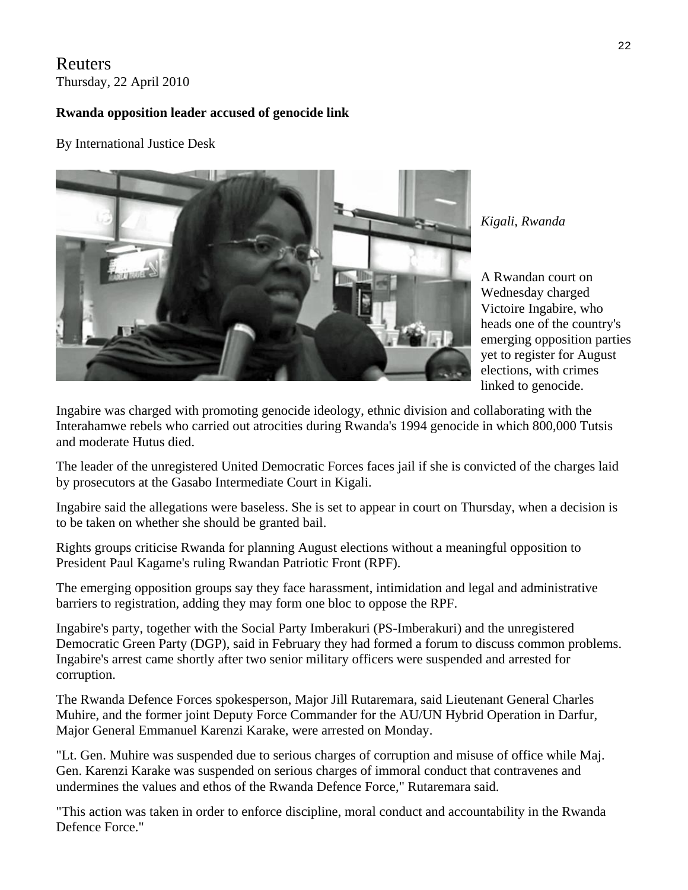# Reuters Thursday, 22 April 2010

# **Rwanda opposition leader accused of genocide link**

By International Justice Desk



*Kigali, Rwanda* 

emerging opposition parties A Rwandan court on Wednesday charged Victoire Ingabire, who heads one of the country's yet to register for August elections, with crimes linked to genocide.

Ingabire was charged with promoting genocide ideology, ethnic division and collaborating with the Interahamwe rebels who carried out atrocities during Rwanda's 1994 genocide in which 800,000 Tutsis and moderate Hutus died.

The leader of the unregistered United Democratic Forces faces jail if she is convicted of the charges laid by prosecutors at the Gasabo Intermediate Court in Kigali.

Ingabire said the allegations were baseless. She is set to appear in court on Thursday, when a decision is to be taken on whether she should be granted bail.

Rights groups criticise Rwanda for planning August elections without a meaningful opposition to President Paul Kagame's ruling Rwandan Patriotic Front (RPF).

The emerging opposition groups say they face harassment, intimidation and legal and administrative barriers to registration, adding they may form one bloc to oppose the RPF.

Ingabire's party, together with the Social Party Imberakuri (PS-Imberakuri) and the unregistered Democratic Green Party (DGP), said in February they had formed a forum to discuss common problems. Ingabire's arrest came shortly after two senior military officers were suspended and arrested for corruption.

The Rwanda Defence Forces spokesperson, Major Jill Rutaremara, said Lieutenant General Charles Muhire, and the former joint Deputy Force Commander for the AU/UN Hybrid Operation in Darfur, Major General Emmanuel Karenzi Karake, were arrested on Monday.

"Lt. Gen. Muhire was suspended due to serious charges of corruption and misuse of office while Maj. Gen. Karenzi Karake was suspended on serious charges of immoral conduct that contravenes and undermines the values and ethos of the Rwanda Defence Force," Rutaremara said.

"This action was taken in order to enforce discipline, moral conduct and accountability in the Rwanda Defence Force."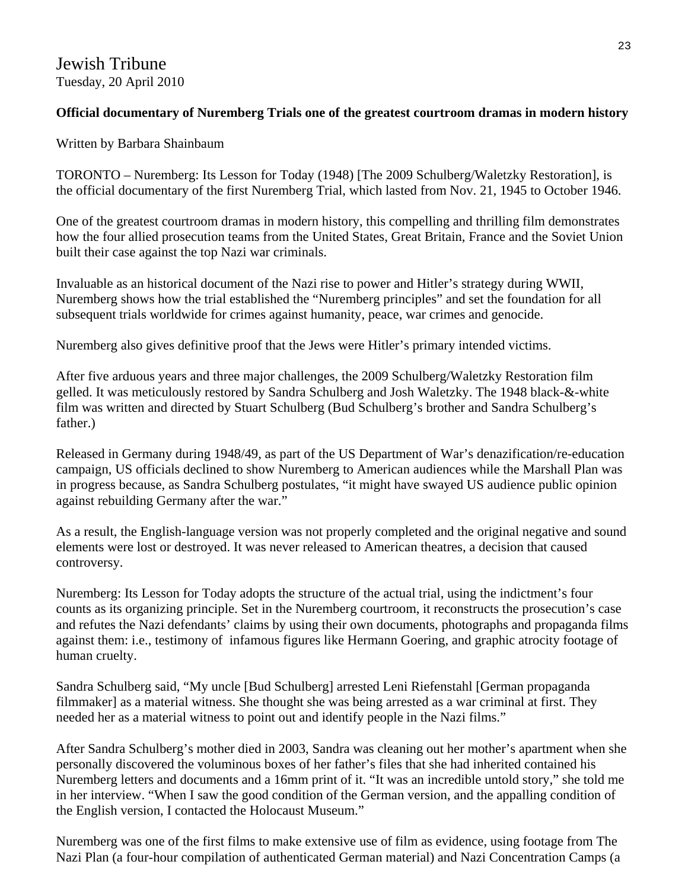# **Official documentary of Nuremberg Trials one of the greatest courtroom dramas in modern history**

# Written by Barbara Shainbaum

TORONTO – Nuremberg: Its Lesson for Today (1948) [The 2009 Schulberg/Waletzky Restoration], is the official documentary of the first Nuremberg Trial, which lasted from Nov. 21, 1945 to October 1946.

One of the greatest courtroom dramas in modern history, this compelling and thrilling film demonstrates how the four allied prosecution teams from the United States, Great Britain, France and the Soviet Union built their case against the top Nazi war criminals.

Invaluable as an historical document of the Nazi rise to power and Hitler's strategy during WWII, Nuremberg shows how the trial established the "Nuremberg principles" and set the foundation for all subsequent trials worldwide for crimes against humanity, peace, war crimes and genocide.

Nuremberg also gives definitive proof that the Jews were Hitler's primary intended victims.

After five arduous years and three major challenges, the 2009 Schulberg/Waletzky Restoration film gelled. It was meticulously restored by Sandra Schulberg and Josh Waletzky. The 1948 black-&-white film was written and directed by Stuart Schulberg (Bud Schulberg's brother and Sandra Schulberg's father.)

Released in Germany during 1948/49, as part of the US Department of War's denazification/re-education campaign, US officials declined to show Nuremberg to American audiences while the Marshall Plan was in progress because, as Sandra Schulberg postulates, "it might have swayed US audience public opinion against rebuilding Germany after the war."

As a result, the English-language version was not properly completed and the original negative and sound elements were lost or destroyed. It was never released to American theatres, a decision that caused controversy.

Nuremberg: Its Lesson for Today adopts the structure of the actual trial, using the indictment's four counts as its organizing principle. Set in the Nuremberg courtroom, it reconstructs the prosecution's case and refutes the Nazi defendants' claims by using their own documents, photographs and propaganda films against them: i.e., testimony of infamous figures like Hermann Goering, and graphic atrocity footage of human cruelty.

Sandra Schulberg said, "My uncle [Bud Schulberg] arrested Leni Riefenstahl [German propaganda filmmaker] as a material witness. She thought she was being arrested as a war criminal at first. They needed her as a material witness to point out and identify people in the Nazi films."

After Sandra Schulberg's mother died in 2003, Sandra was cleaning out her mother's apartment when she personally discovered the voluminous boxes of her father's files that she had inherited contained his Nuremberg letters and documents and a 16mm print of it. "It was an incredible untold story," she told me in her interview. "When I saw the good condition of the German version, and the appalling condition of the English version, I contacted the Holocaust Museum."

Nuremberg was one of the first films to make extensive use of film as evidence, using footage from The Nazi Plan (a four-hour compilation of authenticated German material) and Nazi Concentration Camps (a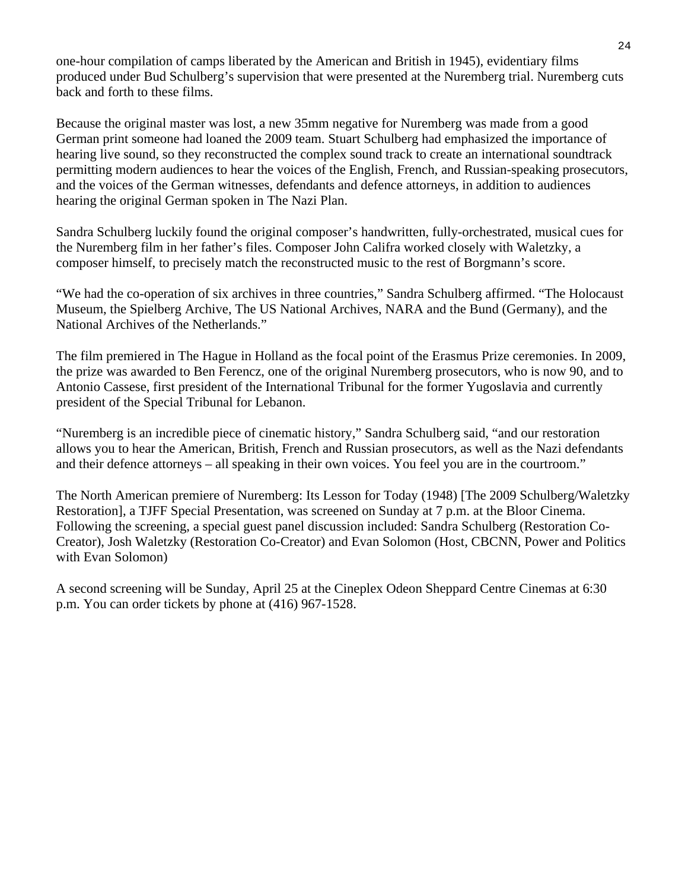one-hour compilation of camps liberated by the American and British in 1945), evidentiary films produced under Bud Schulberg's supervision that were presented at the Nuremberg trial. Nuremberg cuts back and forth to these films.

Because the original master was lost, a new 35mm negative for Nuremberg was made from a good German print someone had loaned the 2009 team. Stuart Schulberg had emphasized the importance of hearing live sound, so they reconstructed the complex sound track to create an international soundtrack permitting modern audiences to hear the voices of the English, French, and Russian-speaking prosecutors, and the voices of the German witnesses, defendants and defence attorneys, in addition to audiences hearing the original German spoken in The Nazi Plan.

Sandra Schulberg luckily found the original composer's handwritten, fully-orchestrated, musical cues for the Nuremberg film in her father's files. Composer John Califra worked closely with Waletzky, a composer himself, to precisely match the reconstructed music to the rest of Borgmann's score.

"We had the co-operation of six archives in three countries," Sandra Schulberg affirmed. "The Holocaust Museum, the Spielberg Archive, The US National Archives, NARA and the Bund (Germany), and the National Archives of the Netherlands."

The film premiered in The Hague in Holland as the focal point of the Erasmus Prize ceremonies. In 2009, the prize was awarded to Ben Ferencz, one of the original Nuremberg prosecutors, who is now 90, and to Antonio Cassese, first president of the International Tribunal for the former Yugoslavia and currently president of the Special Tribunal for Lebanon.

"Nuremberg is an incredible piece of cinematic history," Sandra Schulberg said, "and our restoration allows you to hear the American, British, French and Russian prosecutors, as well as the Nazi defendants and their defence attorneys – all speaking in their own voices. You feel you are in the courtroom."

The North American premiere of Nuremberg: Its Lesson for Today (1948) [The 2009 Schulberg/Waletzky Restoration], a TJFF Special Presentation, was screened on Sunday at 7 p.m. at the Bloor Cinema. Following the screening, a special guest panel discussion included: Sandra Schulberg (Restoration Co-Creator), Josh Waletzky (Restoration Co-Creator) and Evan Solomon (Host, CBCNN, Power and Politics with Evan Solomon)

A second screening will be Sunday, April 25 at the Cineplex Odeon Sheppard Centre Cinemas at 6:30 p.m. You can order tickets by phone at (416) 967-1528.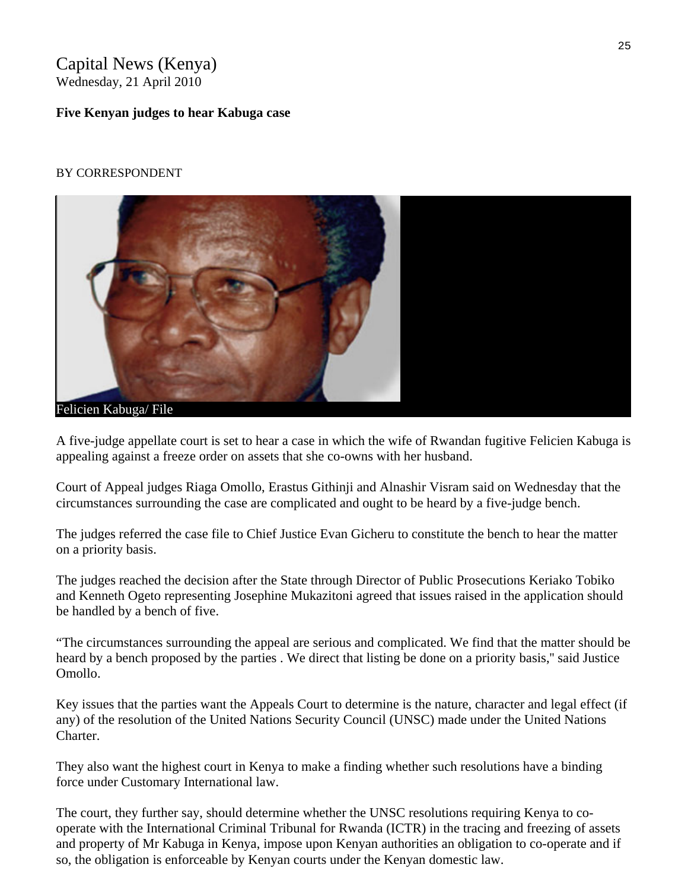# Capital News (Kenya) Wednesday, 21 April 2010

## **Five Kenyan judges to hear Kabuga case**

## BY CORRESPONDENT



A five-judge appellate court is set to hear a case in which the wife of Rwandan fugitive Felicien Kabuga is appealing against a freeze order on assets that she co-owns with her husband.

Court of Appeal judges Riaga Omollo, Erastus Githinji and Alnashir Visram said on Wednesday that the circumstances surrounding the case are complicated and ought to be heard by a five-judge bench.

The judges referred the case file to Chief Justice Evan Gicheru to constitute the bench to hear the matter on a priority basis.

The judges reached the decision after the State through Director of Public Prosecutions Keriako Tobiko and Kenneth Ogeto representing Josephine Mukazitoni agreed that issues raised in the application should be handled by a bench of five.

"The circumstances surrounding the appeal are serious and complicated. We find that the matter should be heard by a bench proposed by the parties . We direct that listing be done on a priority basis,'' said Justice Omollo.

Key issues that the parties want the Appeals Court to determine is the nature, character and legal effect (if any) of the resolution of the United Nations Security Council (UNSC) made under the United Nations Charter.

They also want the highest court in Kenya to make a finding whether such resolutions have a binding force under Customary International law.

The court, they further say, should determine whether the UNSC resolutions requiring Kenya to cooperate with the International Criminal Tribunal for Rwanda (ICTR) in the tracing and freezing of assets and property of Mr Kabuga in Kenya, impose upon Kenyan authorities an obligation to co-operate and if so, the obligation is enforceable by Kenyan courts under the Kenyan domestic law.